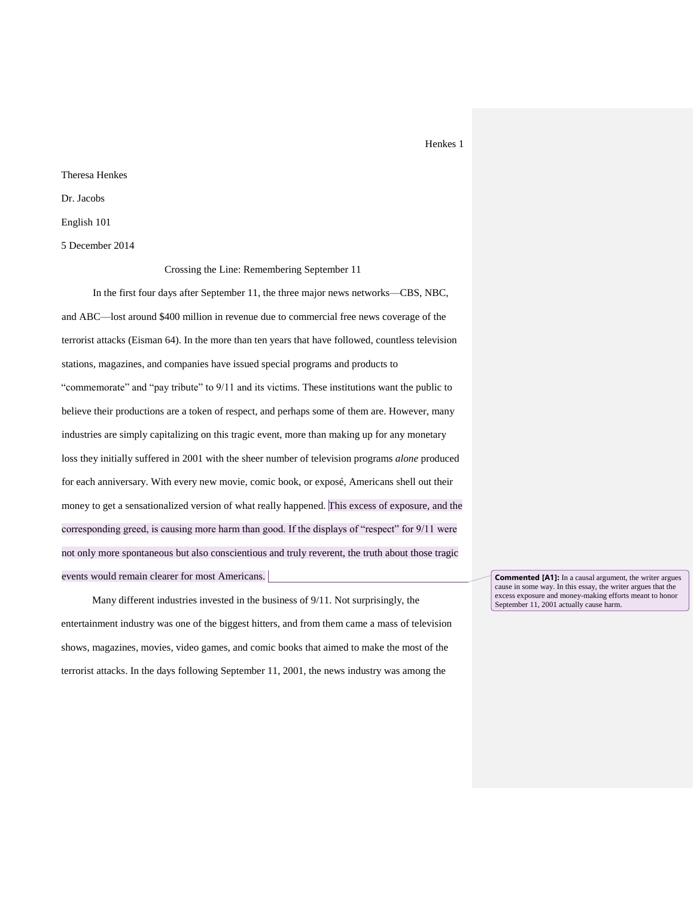# Theresa Henkes Dr. Jacobs English 101

5 December 2014

Crossing the Line: Remembering September 11

In the first four days after September 11, the three major news networks—CBS, NBC, and ABC—lost around \$400 million in revenue due to commercial free news coverage of the terrorist attacks (Eisman 64). In the more than ten years that have followed, countless television stations, magazines, and companies have issued special programs and products to "commemorate" and "pay tribute" to 9/11 and its victims. These institutions want the public to believe their productions are a token of respect, and perhaps some of them are. However, many industries are simply capitalizing on this tragic event, more than making up for any monetary loss they initially suffered in 2001 with the sheer number of television programs *alone* produced for each anniversary. With every new movie, comic book, or exposé, Americans shell out their money to get a sensationalized version of what really happened. This excess of exposure, and the corresponding greed, is causing more harm than good. If the displays of "respect" for 9/11 were not only more spontaneous but also conscientious and truly reverent, the truth about those tragic events would remain clearer for most Americans.

Many different industries invested in the business of 9/11. Not surprisingly, the entertainment industry was one of the biggest hitters, and from them came a mass of television shows, magazines, movies, video games, and comic books that aimed to make the most of the terrorist attacks. In the days following September 11, 2001, the news industry was among the

**Commented [A1]:** In a causal argument, the writer argues cause in some way. In this essay, the writer argues that the excess exposure and money-making efforts meant to honor September 11, 2001 actually cause harm.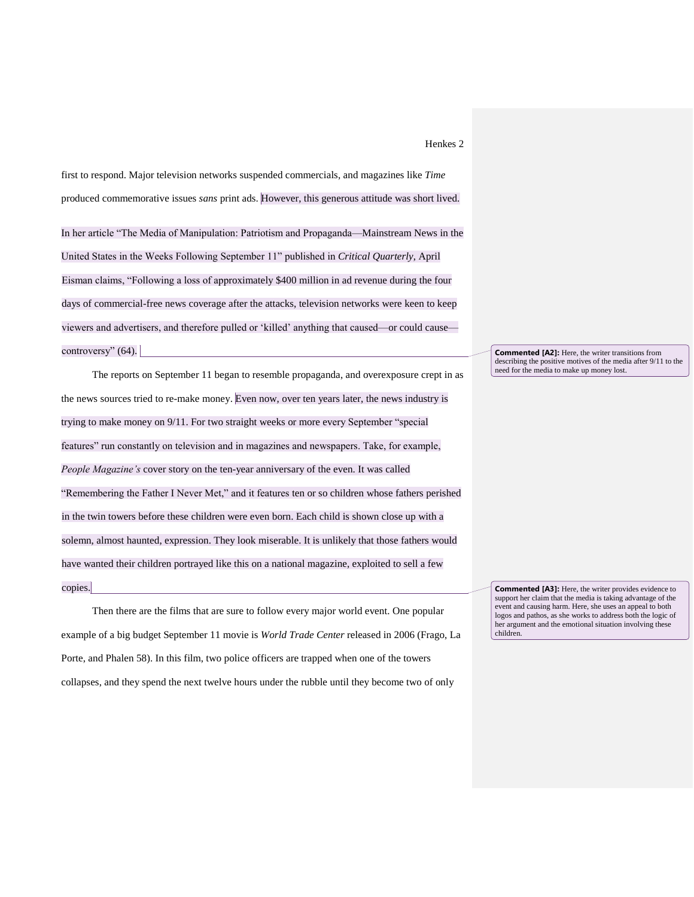first to respond. Major television networks suspended commercials, and magazines like *Time* produced commemorative issues *sans* print ads. However, this generous attitude was short lived.

In her article "The Media of Manipulation: Patriotism and Propaganda—Mainstream News in the United States in the Weeks Following September 11" published in *Critical Quarterly*, April Eisman claims, "Following a loss of approximately \$400 million in ad revenue during the four days of commercial-free news coverage after the attacks, television networks were keen to keep viewers and advertisers, and therefore pulled or 'killed' anything that caused—or could cause controversy"  $(64)$ .

The reports on September 11 began to resemble propaganda, and overexposure crept in as the news sources tried to re-make money. Even now, over ten years later, the news industry is trying to make money on 9/11. For two straight weeks or more every September "special features" run constantly on television and in magazines and newspapers. Take, for example, *People Magazine's* cover story on the ten-year anniversary of the even. It was called "Remembering the Father I Never Met," and it features ten or so children whose fathers perished in the twin towers before these children were even born. Each child is shown close up with a solemn, almost haunted, expression. They look miserable. It is unlikely that those fathers would have wanted their children portrayed like this on a national magazine, exploited to sell a few copies.

Then there are the films that are sure to follow every major world event. One popular example of a big budget September 11 movie is *World Trade Center* released in 2006 (Frago, La Porte, and Phalen 58). In this film, two police officers are trapped when one of the towers collapses, and they spend the next twelve hours under the rubble until they become two of only

**Commented [A2]:** Here, the writer transitions from describing the positive motives of the media after 9/11 to the need for the media to make up money lost.

**Commented [A3]:** Here, the writer provides evidence to support her claim that the media is taking advantage of the event and causing harm. Here, she uses an appeal to both logos and pathos, as she works to address both the logic of her argument and the emotional situation involving these children.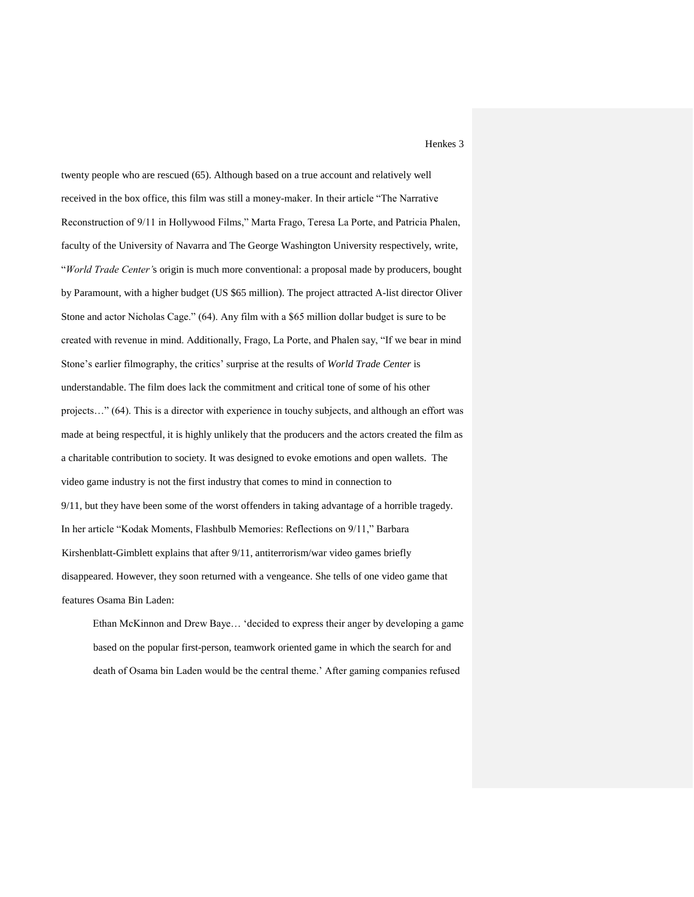twenty people who are rescued (65). Although based on a true account and relatively well received in the box office, this film was still a money-maker. In their article "The Narrative Reconstruction of 9/11 in Hollywood Films," Marta Frago, Teresa La Porte, and Patricia Phalen, faculty of the University of Navarra and The George Washington University respectively, write, "*World Trade Center'*s origin is much more conventional: a proposal made by producers, bought by Paramount, with a higher budget (US \$65 million). The project attracted A-list director Oliver Stone and actor Nicholas Cage." (64). Any film with a \$65 million dollar budget is sure to be created with revenue in mind. Additionally, Frago, La Porte, and Phalen say, "If we bear in mind Stone's earlier filmography, the critics' surprise at the results of *World Trade Center* is understandable. The film does lack the commitment and critical tone of some of his other projects…" (64). This is a director with experience in touchy subjects, and although an effort was made at being respectful, it is highly unlikely that the producers and the actors created the film as a charitable contribution to society. It was designed to evoke emotions and open wallets. The video game industry is not the first industry that comes to mind in connection to 9/11, but they have been some of the worst offenders in taking advantage of a horrible tragedy. In her article "Kodak Moments, Flashbulb Memories: Reflections on 9/11," Barbara Kirshenblatt-Gimblett explains that after 9/11, antiterrorism/war video games briefly disappeared. However, they soon returned with a vengeance. She tells of one video game that features Osama Bin Laden:

Ethan McKinnon and Drew Baye… 'decided to express their anger by developing a game based on the popular first-person, teamwork oriented game in which the search for and death of Osama bin Laden would be the central theme.' After gaming companies refused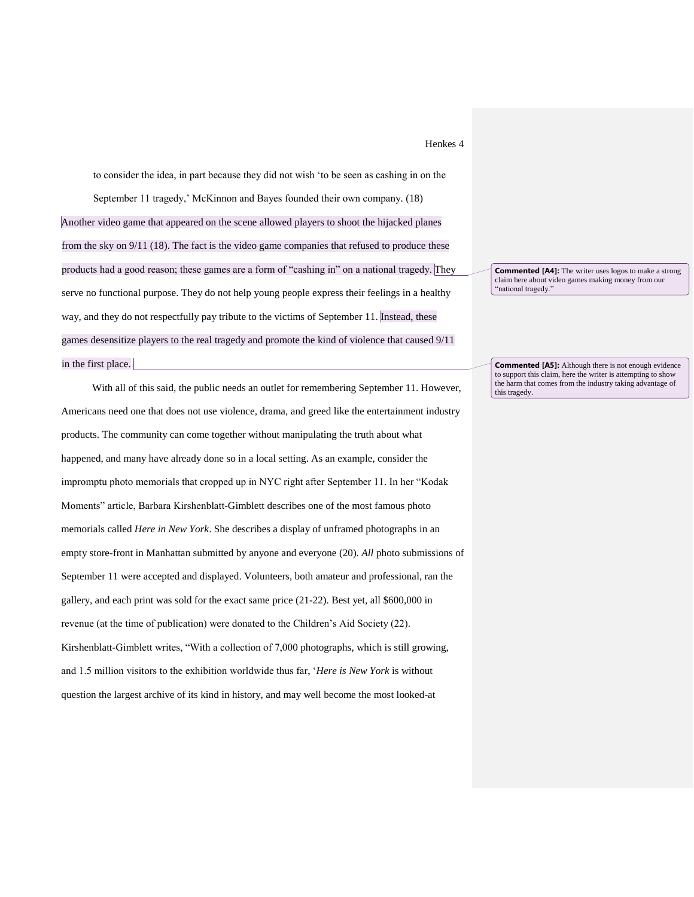to consider the idea, in part because they did not wish 'to be seen as cashing in on the September 11 tragedy,' McKinnon and Bayes founded their own company. (18) Another video game that appeared on the scene allowed players to shoot the hijacked planes from the sky on 9/11 (18). The fact is the video game companies that refused to produce these products had a good reason; these games are a form of "cashing in" on a national tragedy. They serve no functional purpose. They do not help young people express their feelings in a healthy way, and they do not respectfully pay tribute to the victims of September 11. Instead, these games desensitize players to the real tragedy and promote the kind of violence that caused 9/11 in the first place.

With all of this said, the public needs an outlet for remembering September 11. However, Americans need one that does not use violence, drama, and greed like the entertainment industry products. The community can come together without manipulating the truth about what happened, and many have already done so in a local setting. As an example, consider the impromptu photo memorials that cropped up in NYC right after September 11. In her "Kodak Moments" article, Barbara Kirshenblatt-Gimblett describes one of the most famous photo memorials called *Here in New York*. She describes a display of unframed photographs in an empty store-front in Manhattan submitted by anyone and everyone (20). *All* photo submissions of September 11 were accepted and displayed. Volunteers, both amateur and professional, ran the gallery, and each print was sold for the exact same price (21-22). Best yet, all \$600,000 in revenue (at the time of publication) were donated to the Children's Aid Society (22). Kirshenblatt-Gimblett writes, "With a collection of 7,000 photographs, which is still growing, and 1.5 million visitors to the exhibition worldwide thus far, '*Here is New York* is without question the largest archive of its kind in history, and may well become the most looked-at

**Commented [A4]:** The writer uses logos to make a strong claim here about video games making money from our "national tragedy."

**Commented [A5]:** Although there is not enough evidence to support this claim, here the writer is attempting to show the harm that comes from the industry taking advantage of this tragedy.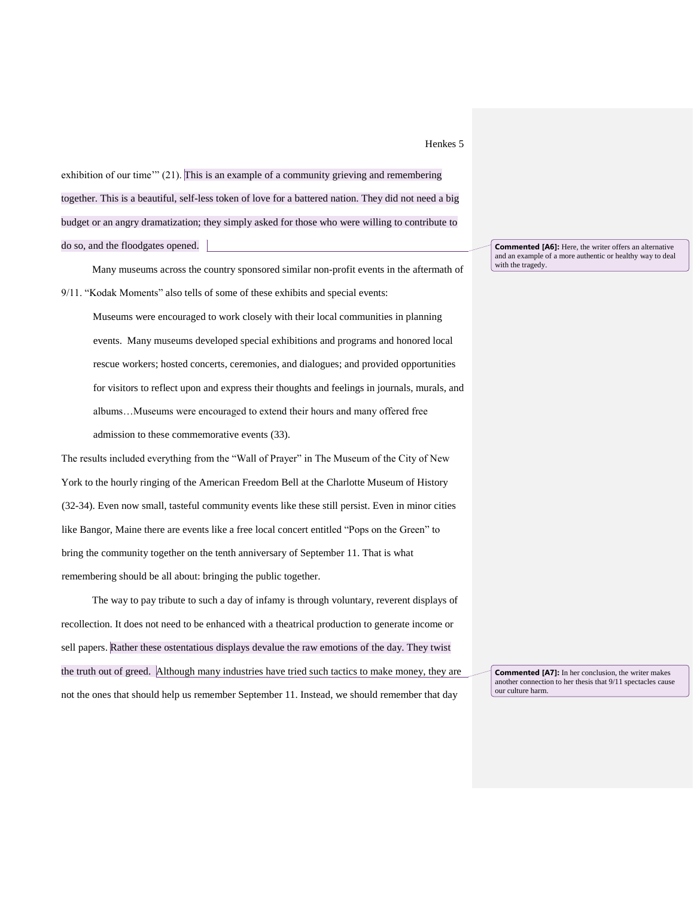exhibition of our time'" (21). This is an example of a community grieving and remembering together. This is a beautiful, self-less token of love for a battered nation. They did not need a big budget or an angry dramatization; they simply asked for those who were willing to contribute to do so, and the floodgates opened.

Many museums across the country sponsored similar non-profit events in the aftermath of 9/11. "Kodak Moments" also tells of some of these exhibits and special events:

Museums were encouraged to work closely with their local communities in planning events. Many museums developed special exhibitions and programs and honored local rescue workers; hosted concerts, ceremonies, and dialogues; and provided opportunities for visitors to reflect upon and express their thoughts and feelings in journals, murals, and albums…Museums were encouraged to extend their hours and many offered free admission to these commemorative events (33).

The results included everything from the "Wall of Prayer" in The Museum of the City of New York to the hourly ringing of the American Freedom Bell at the Charlotte Museum of History (32-34). Even now small, tasteful community events like these still persist. Even in minor cities like Bangor, Maine there are events like a free local concert entitled "Pops on the Green" to bring the community together on the tenth anniversary of September 11. That is what remembering should be all about: bringing the public together.

The way to pay tribute to such a day of infamy is through voluntary, reverent displays of recollection. It does not need to be enhanced with a theatrical production to generate income or sell papers. Rather these ostentatious displays devalue the raw emotions of the day. They twist the truth out of greed. Although many industries have tried such tactics to make money, they are not the ones that should help us remember September 11. Instead, we should remember that day

**Commented [A6]:** Here, the writer offers an alternative and an example of a more authentic or healthy way to deal with the tragedy.

**Commented [A7]:** In her conclusion, the writer makes another connection to her thesis that 9/11 spectacles cause our culture harm.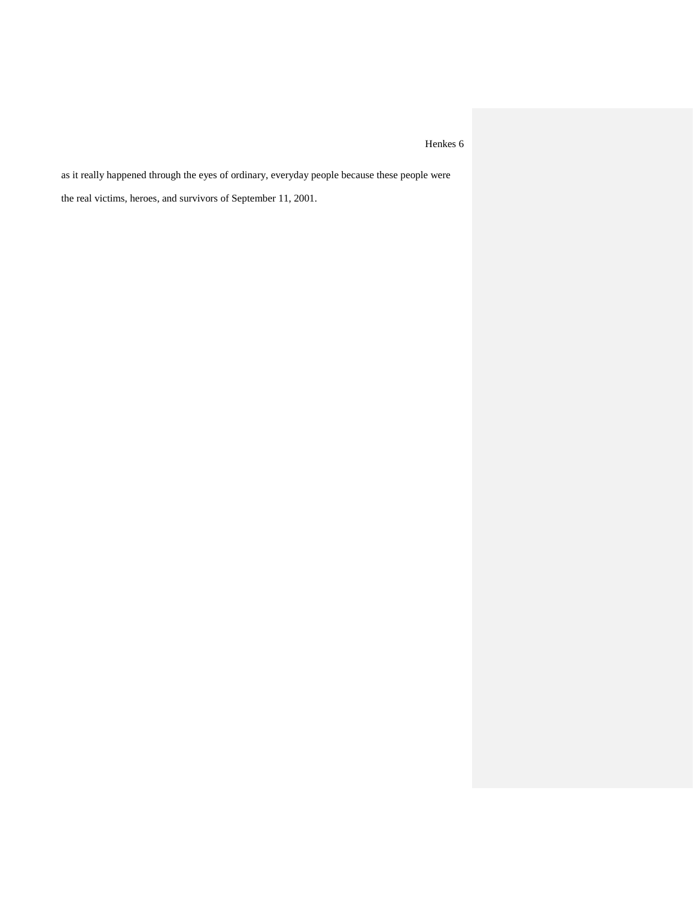as it really happened through the eyes of ordinary, everyday people because these people were the real victims, heroes, and survivors of September 11, 2001.